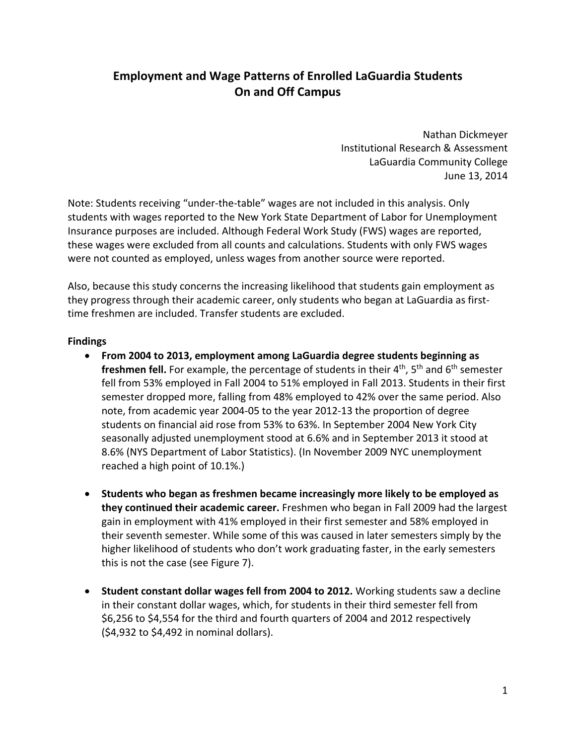# **Employment and Wage Patterns of Enrolled LaGuardia Students On and Off Campus**

 Nathan Dickmeyer Institutional Research & Assessment LaGuardia Community College June 13, 2014

 Note: Students receiving "under‐the‐table" wages are not included in this analysis. Only students with wages reported to the New York State Department of Labor for Unemployment Insurance purposes are included. Although Federal Work Study (FWS) wages are reported, these wages were excluded from all counts and calculations. Students with only FWS wages were not counted as employed, unless wages from another source were reported.

 Also, because this study concerns the increasing likelihood that students gain employment as they progress through their academic career, only students who began at LaGuardia as first‐ time freshmen are included. Transfer students are excluded.

#### **Findings**

- **From 2004 to 2013, employment among LaGuardia degree students beginning as freshmen fell.** For example, the percentage of students in their 4th, 5th and 6th semester fell from 53% employed in Fall 2004 to 51% employed in Fall 2013. Students in their first semester dropped more, falling from 48% employed to 42% over the same period. Also note, from academic year 2004‐05 to the year 2012‐13 the proportion of degree students on financial aid rose from 53% to 63%. In September 2004 New York City seasonally adjusted unemployment stood at 6.6% and in September 2013 it stood at 8.6% (NYS Department of Labor Statistics). (In November 2009 NYC unemployment reached a high point of 10.1%.)
- **Students who began as freshmen became increasingly more likely to be employed as they continued their academic career.** Freshmen who began in Fall 2009 had the largest gain in employment with 41% employed in their first semester and 58% employed in their seventh semester. While some of this was caused in later semesters simply by the higher likelihood of students who don't work graduating faster, in the early semesters this is not the case (see Figure 7).
- **Student constant dollar wages fell from 2004 to 2012.** Working students saw a decline in their constant dollar wages, which, for students in their third semester fell from \$6,256 to \$4,554 for the third and fourth quarters of 2004 and 2012 respectively (\$4,932 to \$4,492 in nominal dollars).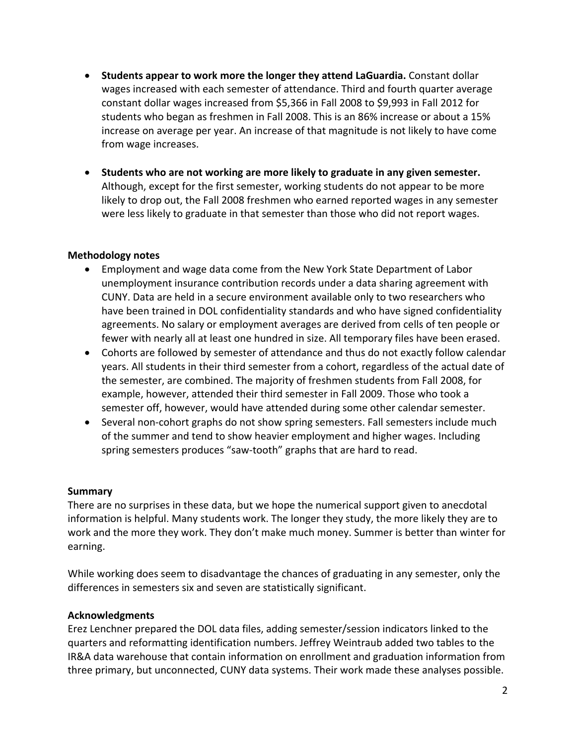- **Students appear to work more the longer they attend LaGuardia.** Constant dollar wages increased with each semester of attendance. Third and fourth quarter average constant dollar wages increased from \$5,366 in Fall 2008 to \$9,993 in Fall 2012 for students who began as freshmen in Fall 2008. This is an 86% increase or about a 15% increase on average per year. An increase of that magnitude is not likely to have come from wage increases.
- **Students who are not working are more likely to graduate in any given semester.** Although, except for the first semester, working students do not appear to be more likely to drop out, the Fall 2008 freshmen who earned reported wages in any semester were less likely to graduate in that semester than those who did not report wages.

## **Methodology notes**

- Employment and wage data come from the New York State Department of Labor unemployment insurance contribution records under a data sharing agreement with CUNY. Data are held in a secure environment available only to two researchers who have been trained in DOL confidentiality standards and who have signed confidentiality agreements. No salary or employment averages are derived from cells of ten people or fewer with nearly all at least one hundred in size. All temporary files have been erased.
- Cohorts are followed by semester of attendance and thus do not exactly follow calendar years. All students in their third semester from a cohort, regardless of the actual date of the semester, are combined. The majority of freshmen students from Fall 2008, for example, however, attended their third semester in Fall 2009. Those who took a semester off, however, would have attended during some other calendar semester.
- Several non-cohort graphs do not show spring semesters. Fall semesters include much of the summer and tend to show heavier employment and higher wages. Including spring semesters produces "saw‐tooth" graphs that are hard to read.

#### **Summary**

 There are no surprises in these data, but we hope the numerical support given to anecdotal information is helpful. Many students work. The longer they study, the more likely they are to work and the more they work. They don't make much money. Summer is better than winter for earning.

 While working does seem to disadvantage the chances of graduating in any semester, only the differences in semesters six and seven are statistically significant.

# **Acknowledgments**

 Erez Lenchner prepared the DOL data files, adding semester/session indicators linked to the quarters and reformatting identification numbers. Jeffrey Weintraub added two tables to the IR&A data warehouse that contain information on enrollment and graduation information from three primary, but unconnected, CUNY data systems. Their work made these analyses possible.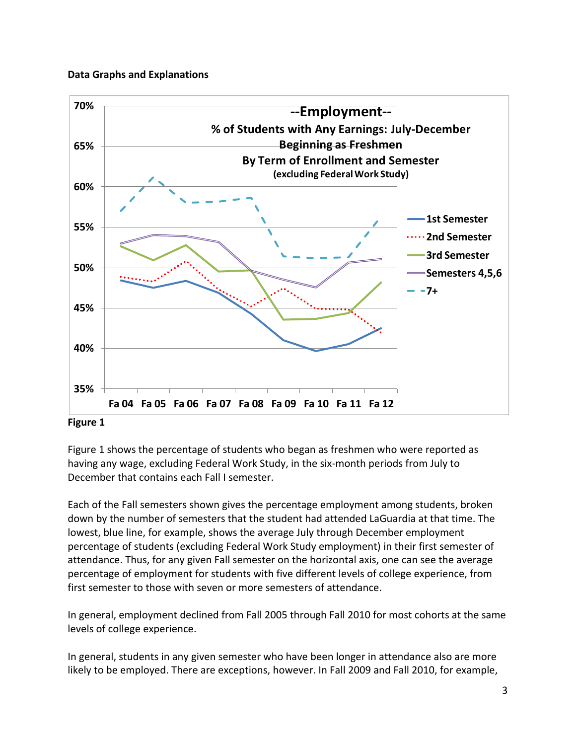## **Data Graphs and Explanations**



#### **Figure 1**

 Figure 1 shows the percentage of students who began as freshmen who were reported as having any wage, excluding Federal Work Study, in the six‐month periods from July to December that contains each Fall I semester.

 Each of the Fall semesters shown gives the percentage employment among students, broken down by the number of semesters that the student had attended LaGuardia at that time. The lowest, blue line, for example, shows the average July through December employment percentage of students (excluding Federal Work Study employment) in their first semester of attendance. Thus, for any given Fall semester on the horizontal axis, one can see the average percentage of employment for students with five different levels of college experience, from first semester to those with seven or more semesters of attendance.

 In general, employment declined from Fall 2005 through Fall 2010 for most cohorts at the same levels of college experience.

 In general, students in any given semester who have been longer in attendance also are more likely to be employed. There are exceptions, however. In Fall 2009 and Fall 2010, for example,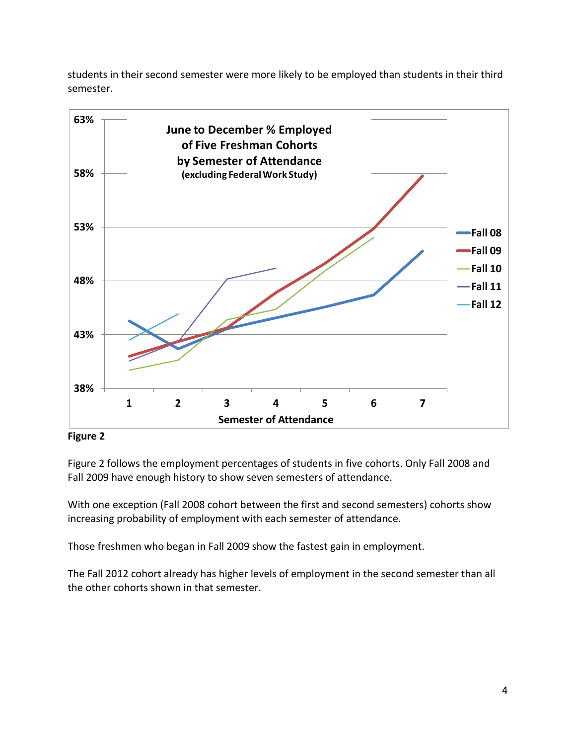students in their second semester were more likely to be employed than students in their third semester.



 **Figure 2**

 Figure 2 follows the employment percentages of students in five cohorts. Only Fall 2008 and Fall 2009 have enough history to show seven semesters of attendance.

 With one exception (Fall 2008 cohort between the first and second semesters) cohorts show increasing probability of employment with each semester of attendance.

Those freshmen who began in Fall 2009 show the fastest gain in employment.

 The Fall 2012 cohort already has higher levels of employment in the second semester than all the other cohorts shown in that semester.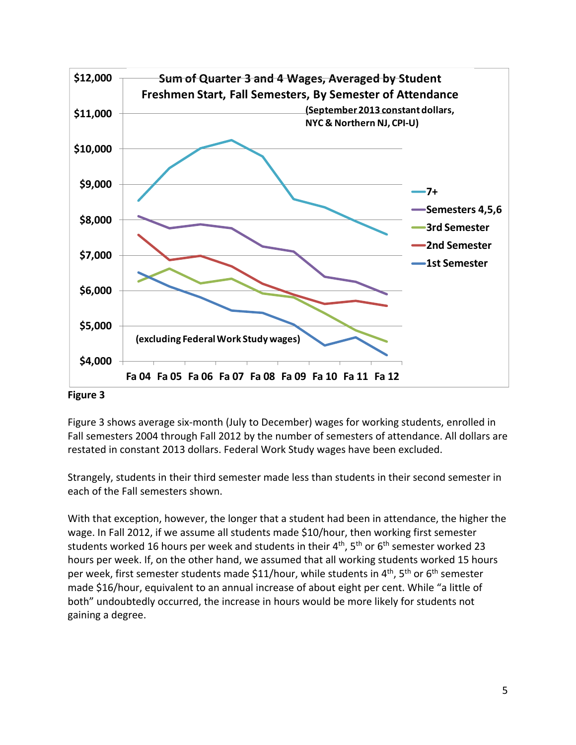

 Figure 3 shows average six‐month (July to December) wages for working students, enrolled in Fall semesters 2004 through Fall 2012 by the number of semesters of attendance. All dollars are restated in constant 2013 dollars. Federal Work Study wages have been excluded.

 Strangely, students in their third semester made less than students in their second semester in each of the Fall semesters shown.

 With that exception, however, the longer that a student had been in attendance, the higher the wage. In Fall 2012, if we assume all students made \$10/hour, then working first semester students worked 16 hours per week and students in their 4<sup>th</sup>, 5<sup>th</sup> or 6<sup>th</sup> semester worked 23 hours per week. If, on the other hand, we assumed that all working students worked 15 hours per week, first semester students made \$11/hour, while students in 4<sup>th</sup>, 5<sup>th</sup> or 6<sup>th</sup> semester made \$16/hour, equivalent to an annual increase of about eight per cent. While "a little of both" undoubtedly occurred, the increase in hours would be more likely for students not gaining a degree.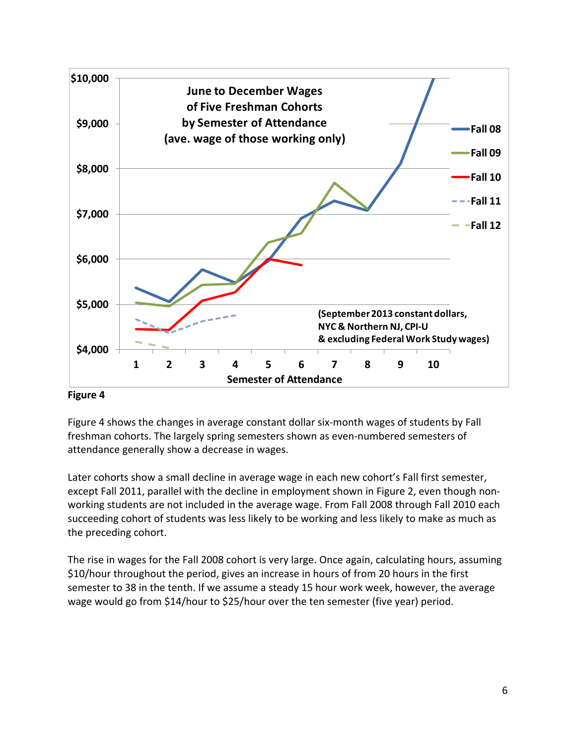

 Figure 4 shows the changes in average constant dollar six‐month wages of students by Fall freshman cohorts. The largely spring semesters shown as even‐numbered semesters of attendance generally show a decrease in wages.

 Later cohorts show a small decline in average wage in each new cohort's Fall first semester, except Fall 2011, parallel with the decline in employment shown in Figure 2, even though non‐ working students are not included in the average wage. From Fall 2008 through Fall 2010 each succeeding cohort of students was less likely to be working and less likely to make as much as the preceding cohort.

 The rise in wages for the Fall 2008 cohort is very large. Once again, calculating hours, assuming \$10/hour throughout the period, gives an increase in hours of from 20 hours in the first semester to 38 in the tenth. If we assume a steady 15 hour work week, however, the average wage would go from \$14/hour to \$25/hour over the ten semester (five year) period.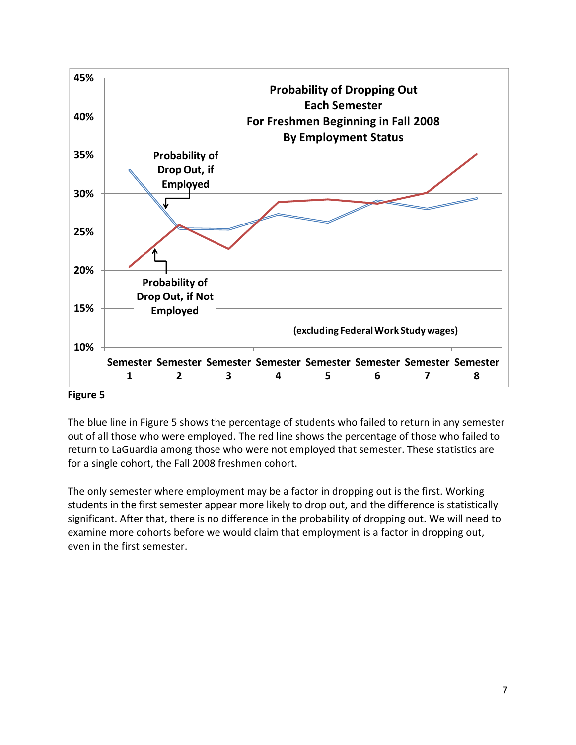

 The blue line in Figure 5 shows the percentage of students who failed to return in any semester out of all those who were employed. The red line shows the percentage of those who failed to return to LaGuardia among those who were not employed that semester. These statistics are for a single cohort, the Fall 2008 freshmen cohort.

 The only semester where employment may be a factor in dropping out is the first. Working students in the first semester appear more likely to drop out, and the difference is statistically significant. After that, there is no difference in the probability of dropping out. We will need to examine more cohorts before we would claim that employment is a factor in dropping out, even in the first semester.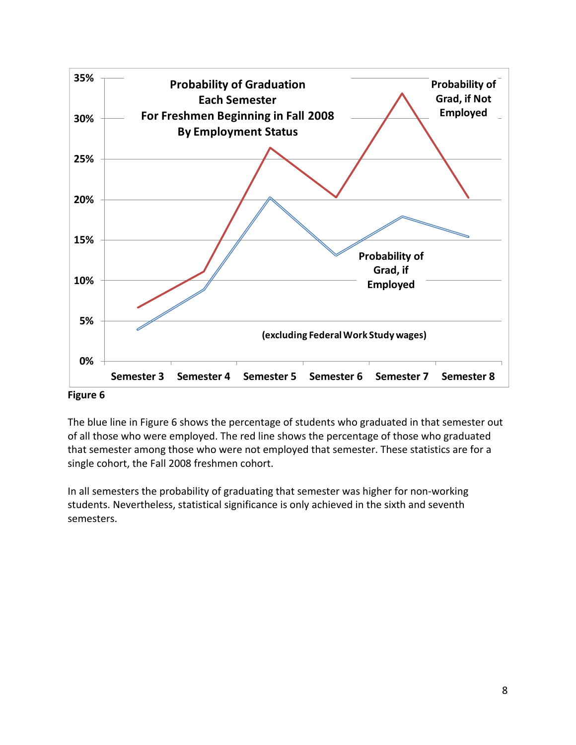

 The blue line in Figure 6 shows the percentage of students who graduated in that semester out of all those who were employed. The red line shows the percentage of those who graduated that semester among those who were not employed that semester. These statistics are for a single cohort, the Fall 2008 freshmen cohort.

 In all semesters the probability of graduating that semester was higher for non‐working students. Nevertheless, statistical significance is only achieved in the sixth and seventh semesters.